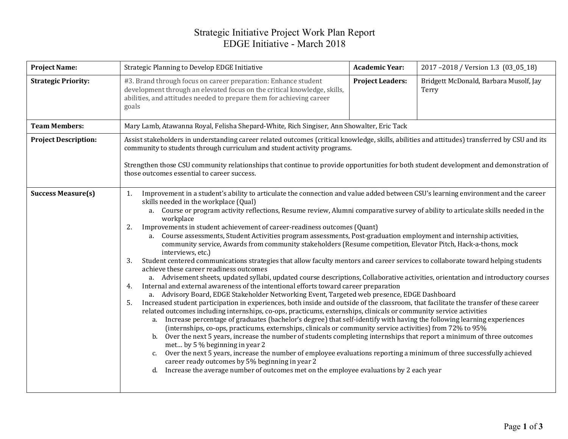## Strategic Initiative Project Work Plan Report EDGE Initiative - March 2018

| <b>Project Name:</b>        | Strategic Planning to Develop EDGE Initiative                                                                                                                                                                                                                                                                                                                                                                                                                                                                                                                                                                                                                                                                                                                                                                                                                                                                                                                                                                                                                                                                                                                                                                                                                                                                                                                                                                                                                                                                                                                                                                                                                                                                                                                                                                                                                                                                                                                                                                                                                                                                                                                                    | <b>Academic Year:</b>   | 2017-2018 / Version 1.3 (03_05_18)              |  |  |  |  |
|-----------------------------|----------------------------------------------------------------------------------------------------------------------------------------------------------------------------------------------------------------------------------------------------------------------------------------------------------------------------------------------------------------------------------------------------------------------------------------------------------------------------------------------------------------------------------------------------------------------------------------------------------------------------------------------------------------------------------------------------------------------------------------------------------------------------------------------------------------------------------------------------------------------------------------------------------------------------------------------------------------------------------------------------------------------------------------------------------------------------------------------------------------------------------------------------------------------------------------------------------------------------------------------------------------------------------------------------------------------------------------------------------------------------------------------------------------------------------------------------------------------------------------------------------------------------------------------------------------------------------------------------------------------------------------------------------------------------------------------------------------------------------------------------------------------------------------------------------------------------------------------------------------------------------------------------------------------------------------------------------------------------------------------------------------------------------------------------------------------------------------------------------------------------------------------------------------------------------|-------------------------|-------------------------------------------------|--|--|--|--|
| <b>Strategic Priority:</b>  | #3. Brand through focus on career preparation: Enhance student<br>development through an elevated focus on the critical knowledge, skills,<br>abilities, and attitudes needed to prepare them for achieving career<br>goals                                                                                                                                                                                                                                                                                                                                                                                                                                                                                                                                                                                                                                                                                                                                                                                                                                                                                                                                                                                                                                                                                                                                                                                                                                                                                                                                                                                                                                                                                                                                                                                                                                                                                                                                                                                                                                                                                                                                                      | <b>Project Leaders:</b> | Bridgett McDonald, Barbara Musolf, Jay<br>Terry |  |  |  |  |
| <b>Team Members:</b>        | Mary Lamb, Atawanna Royal, Felisha Shepard-White, Rich Singiser, Ann Showalter, Eric Tack                                                                                                                                                                                                                                                                                                                                                                                                                                                                                                                                                                                                                                                                                                                                                                                                                                                                                                                                                                                                                                                                                                                                                                                                                                                                                                                                                                                                                                                                                                                                                                                                                                                                                                                                                                                                                                                                                                                                                                                                                                                                                        |                         |                                                 |  |  |  |  |
| <b>Project Description:</b> | Assist stakeholders in understanding career related outcomes (critical knowledge, skills, abilities and attitudes) transferred by CSU and its<br>community to students through curriculum and student activity programs.<br>Strengthen those CSU community relationships that continue to provide opportunities for both student development and demonstration of<br>those outcomes essential to career success.                                                                                                                                                                                                                                                                                                                                                                                                                                                                                                                                                                                                                                                                                                                                                                                                                                                                                                                                                                                                                                                                                                                                                                                                                                                                                                                                                                                                                                                                                                                                                                                                                                                                                                                                                                 |                         |                                                 |  |  |  |  |
| <b>Success Measure(s)</b>   | Improvement in a student's ability to articulate the connection and value added between CSU's learning environment and the career<br>1.<br>skills needed in the workplace (Qual)<br>a. Course or program activity reflections, Resume review, Alumni comparative survey of ability to articulate skills needed in the<br>workplace<br>Improvements in student achievement of career-readiness outcomes (Quant)<br>2.<br>a. Course assessments, Student Activities program assessments, Post-graduation employment and internship activities,<br>community service, Awards from community stakeholders (Resume competition, Elevator Pitch, Hack-a-thons, mock<br>interviews, etc.)<br>Student centered communications strategies that allow faculty mentors and career services to collaborate toward helping students<br>3.<br>achieve these career readiness outcomes<br>a. Advisement sheets, updated syllabi, updated course descriptions, Collaborative activities, orientation and introductory courses<br>Internal and external awareness of the intentional efforts toward career preparation<br>4.<br>a. Advisory Board, EDGE Stakeholder Networking Event, Targeted web presence, EDGE Dashboard<br>Increased student participation in experiences, both inside and outside of the classroom, that facilitate the transfer of these career<br>5.<br>related outcomes including internships, co-ops, practicums, externships, clinicals or community service activities<br>Increase percentage of graduates (bachelor's degree) that self-identify with having the following learning experiences<br>a.<br>(internships, co-ops, practicums, externships, clinicals or community service activities) from 72% to 95%<br>Over the next 5 years, increase the number of students completing internships that report a minimum of three outcomes<br>b.<br>met by 5 % beginning in year 2<br>Over the next 5 years, increase the number of employee evaluations reporting a minimum of three successfully achieved<br>c.<br>career ready outcomes by 5% beginning in year 2<br>Increase the average number of outcomes met on the employee evaluations by 2 each year<br>d. |                         |                                                 |  |  |  |  |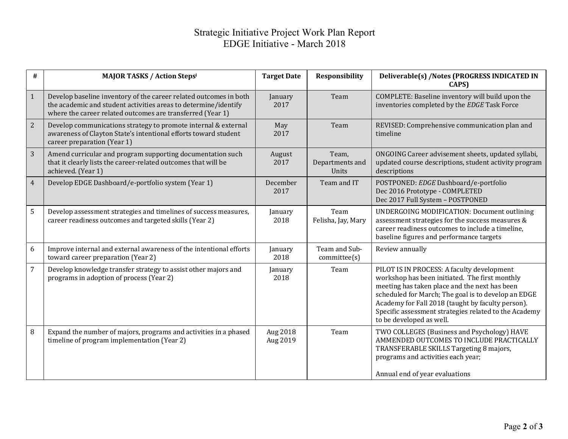## Strategic Initiative Project Work Plan Report EDGE Initiative - March 2018

| #              | <b>MAJOR TASKS / Action Stepsi</b>                                                                                                                                                                 | <b>Target Date</b>   | <b>Responsibility</b>             | Deliverable(s) /Notes (PROGRESS INDICATED IN<br>CAPS)                                                                                                                                                                                                                                                                                          |
|----------------|----------------------------------------------------------------------------------------------------------------------------------------------------------------------------------------------------|----------------------|-----------------------------------|------------------------------------------------------------------------------------------------------------------------------------------------------------------------------------------------------------------------------------------------------------------------------------------------------------------------------------------------|
| $\mathbf{1}$   | Develop baseline inventory of the career related outcomes in both<br>the academic and student activities areas to determine/identify<br>where the career related outcomes are transferred (Year 1) | January<br>2017      | Team                              | COMPLETE: Baseline inventory will build upon the<br>inventories completed by the EDGE Task Force                                                                                                                                                                                                                                               |
| 2              | Develop communications strategy to promote internal & external<br>awareness of Clayton State's intentional efforts toward student<br>career preparation (Year 1)                                   | May<br>2017          | Team                              | REVISED: Comprehensive communication plan and<br>timeline                                                                                                                                                                                                                                                                                      |
| 3              | Amend curricular and program supporting documentation such<br>that it clearly lists the career-related outcomes that will be<br>achieved. (Year 1)                                                 | August<br>2017       | Team,<br>Departments and<br>Units | ONGOING Career advisement sheets, updated syllabi,<br>updated course descriptions, student activity program<br>descriptions                                                                                                                                                                                                                    |
| $\overline{4}$ | Develop EDGE Dashboard/e-portfolio system (Year 1)                                                                                                                                                 | December<br>2017     | Team and IT                       | POSTPONED: EDGE Dashboard/e-portfolio<br>Dec 2016 Prototype - COMPLETED<br>Dec 2017 Full System - POSTPONED                                                                                                                                                                                                                                    |
| 5              | Develop assessment strategies and timelines of success measures,<br>career readiness outcomes and targeted skills (Year 2)                                                                         | January<br>2018      | Team<br>Felisha, Jay, Mary        | <b>UNDERGOING MODIFICATION: Document outlining</b><br>assessment strategies for the success measures &<br>career readiness outcomes to include a timeline,<br>baseline figures and performance targets                                                                                                                                         |
| 6              | Improve internal and external awareness of the intentional efforts<br>toward career preparation (Year 2)                                                                                           | January<br>2018      | Team and Sub-<br>committe(s)      | Review annually                                                                                                                                                                                                                                                                                                                                |
| $\overline{7}$ | Develop knowledge transfer strategy to assist other majors and<br>programs in adoption of process (Year 2)                                                                                         | January<br>2018      | Team                              | PILOT IS IN PROCESS: A faculty development<br>workshop has been initiated. The first monthly<br>meeting has taken place and the next has been<br>scheduled for March; The goal is to develop an EDGE<br>Academy for Fall 2018 (taught by faculty person).<br>Specific assessment strategies related to the Academy<br>to be developed as well. |
| 8              | Expand the number of majors, programs and activities in a phased<br>timeline of program implementation (Year 2)                                                                                    | Aug 2018<br>Aug 2019 | Team                              | TWO COLLEGES (Business and Psychology) HAVE<br>AMMENDED OUTCOMES TO INCLUDE PRACTICALLY<br>TRANSFERABLE SKILLS Targeting 8 majors,<br>programs and activities each year;<br>Annual end of year evaluations                                                                                                                                     |